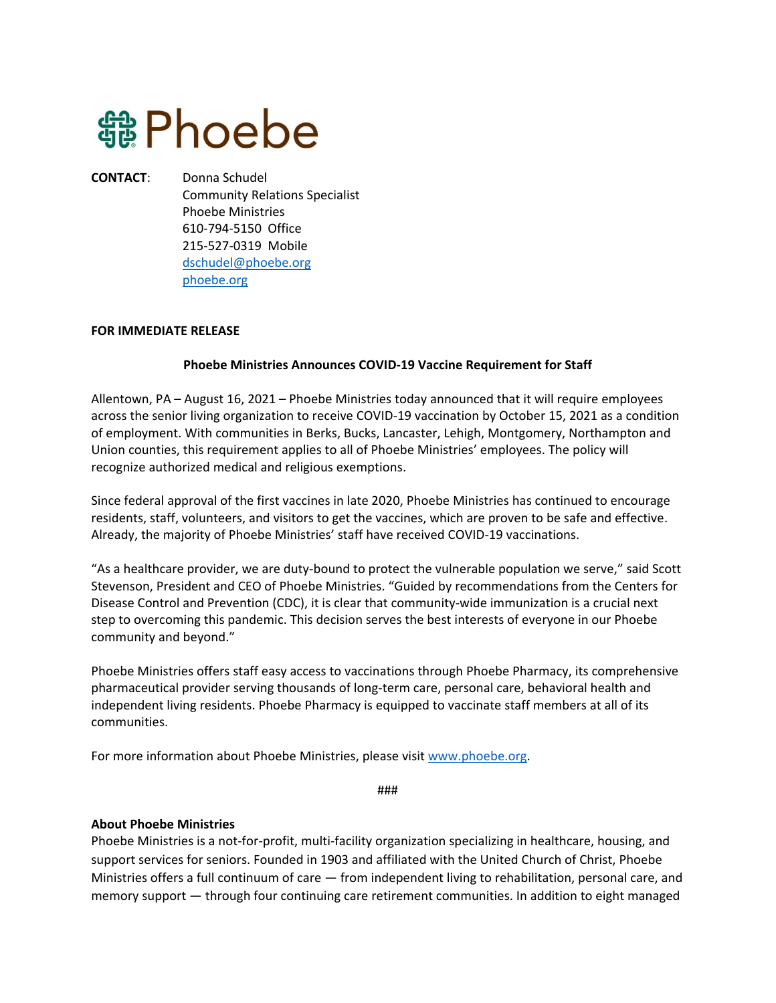## **龜 Phoebe**

**CONTACT**: Donna Schudel Community Relations Specialist Phoebe Ministries 610-794-5150 Office 215-527-0319 Mobile [dschudel@phoebe.org](mailto:dschudel@phoebe.org) [phoebe.org](http://phoebe.org/)

## **FOR IMMEDIATE RELEASE**

## **Phoebe Ministries Announces COVID-19 Vaccine Requirement for Staff**

Allentown, PA – August 16, 2021 – Phoebe Ministries today announced that it will require employees across the senior living organization to receive COVID-19 vaccination by October 15, 2021 as a condition of employment. With communities in Berks, Bucks, Lancaster, Lehigh, Montgomery, Northampton and Union counties, this requirement applies to all of Phoebe Ministries' employees. The policy will recognize authorized medical and religious exemptions.

Since federal approval of the first vaccines in late 2020, Phoebe Ministries has continued to encourage residents, staff, volunteers, and visitors to get the vaccines, which are proven to be safe and effective. Already, the majority of Phoebe Ministries' staff have received COVID-19 vaccinations.

"As a healthcare provider, we are duty-bound to protect the vulnerable population we serve," said Scott Stevenson, President and CEO of Phoebe Ministries. "Guided by recommendations from the Centers for Disease Control and Prevention (CDC), it is clear that community-wide immunization is a crucial next step to overcoming this pandemic. This decision serves the best interests of everyone in our Phoebe community and beyond."

Phoebe Ministries offers staff easy access to vaccinations through Phoebe Pharmacy, its comprehensive pharmaceutical provider serving thousands of long-term care, personal care, behavioral health and independent living residents. Phoebe Pharmacy is equipped to vaccinate staff members at all of its communities.

For more information about Phoebe Ministries, please visit [www.phoebe.org.](https://phoebe.org/)

###

## **About Phoebe Ministries**

Phoebe Ministries is a not-for-profit, multi-facility organization specializing in healthcare, housing, and support services for seniors. Founded in 1903 and affiliated with the United Church of Christ, Phoebe Ministries offers a full continuum of care — from independent living to rehabilitation, personal care, and memory support — through four continuing care retirement communities. In addition to eight managed